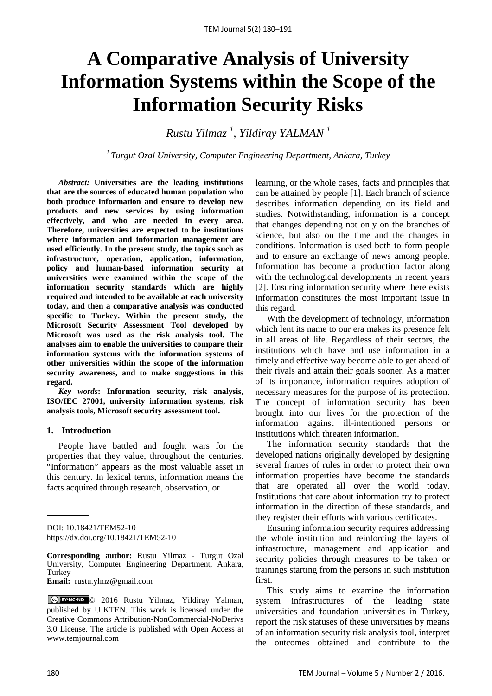# **A Comparative Analysis of University Information Systems within the Scope of the Information Security Risks**

*Rustu Yilmaz <sup>1</sup> , Yildiray YALMAN <sup>1</sup>*

*<sup>1</sup> Turgut Ozal University, Computer Engineering Department, Ankara, Turkey*

*Abstract:* **Universities are the leading institutions that are the sources of educated human population who both produce information and ensure to develop new products and new services by using information effectively, and who are needed in every area. Therefore, universities are expected to be institutions where information and information management are used efficiently. In the present study, the topics such as infrastructure, operation, application, information, policy and human-based information security at universities were examined within the scope of the information security standards which are highly required and intended to be available at each university today, and then a comparative analysis was conducted specific to Turkey. Within the present study, the Microsoft Security Assessment Tool developed by Microsoft was used as the risk analysis tool. The analyses aim to enable the universities to compare their information systems with the information systems of other universities within the scope of the information security awareness, and to make suggestions in this regard.**

*Key words***: Information security, risk analysis, ISO/IEC 27001, university information systems, risk analysis tools, Microsoft security assessment tool.**

#### **1. Introduction**

People have battled and fought wars for the properties that they value, throughout the centuries. "Information" appears as the most valuable asset in this century. In lexical terms, information means the facts acquired through research, observation, or

**Email:** rustu.ylmz@gmail.com

learning, or the whole cases, facts and principles that can be attained by people [1]. Each branch of science describes information depending on its field and studies. Notwithstanding, information is a concept that changes depending not only on the branches of science, but also on the time and the changes in conditions. Information is used both to form people and to ensure an exchange of news among people. Information has become a production factor along with the technological developments in recent years [2]. Ensuring information security where there exists information constitutes the most important issue in this regard.

With the development of technology, information which lent its name to our era makes its presence felt in all areas of life. Regardless of their sectors, the institutions which have and use information in a timely and effective way become able to get ahead of their rivals and attain their goals sooner. As a matter of its importance, information requires adoption of necessary measures for the purpose of its protection. The concept of information security has been brought into our lives for the protection of the information against ill-intentioned persons or institutions which threaten information.

The information security standards that the developed nations originally developed by designing several frames of rules in order to protect their own information properties have become the standards that are operated all over the world today. Institutions that care about information try to protect information in the direction of these standards, and they register their efforts with various certificates.

Ensuring information security requires addressing the whole institution and reinforcing the layers of infrastructure, management and application and security policies through measures to be taken or trainings starting from the persons in such institution first.

This study aims to examine the information system infrastructures of the leading state universities and foundation universities in Turkey, report the risk statuses of these universities by means of an information security risk analysis tool, interpret the outcomes obtained and contribute to the

DOI: 10.18421/TEM52-10 <https://dx.doi.org/10.18421/TEM52-10>

**Corresponding author:** Rustu Yilmaz - Turgut Ozal University, Computer Engineering Department, Ankara, **Turkey** 

<sup>© 2016</sup> Rustu Yilmaz, Yildiray Yalman, published by UIKTEN. This work is licensed under the Creative Commons Attribution-NonCommercial-NoDerivs 3.0 License. The article is published with Open Access at [www.temjournal.com](http://www.temjournal.com/)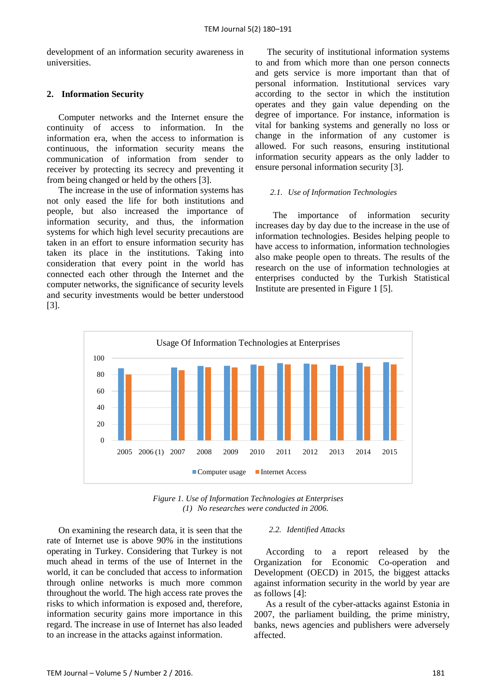development of an information security awareness in universities.

## **2. Information Security**

Computer networks and the Internet ensure the continuity of access to information. In the information era, when the access to information is continuous, the information security means the communication of information from sender to receiver by protecting its secrecy and preventing it from being changed or held by the others [3].

The increase in the use of information systems has not only eased the life for both institutions and people, but also increased the importance of information security, and thus, the information systems for which high level security precautions are taken in an effort to ensure information security has taken its place in the institutions. Taking into consideration that every point in the world has connected each other through the Internet and the computer networks, the significance of security levels and security investments would be better understood [3].

The security of institutional information systems to and from which more than one person connects and gets service is more important than that of personal information. Institutional services vary according to the sector in which the institution operates and they gain value depending on the degree of importance. For instance, information is vital for banking systems and generally no loss or change in the information of any customer is allowed. For such reasons, ensuring institutional information security appears as the only ladder to ensure personal information security [3].

#### *2.1. Use of Information Technologies*

The importance of information security increases day by day due to the increase in the use of information technologies. Besides helping people to have access to information, information technologies also make people open to threats. The results of the research on the use of information technologies at enterprises conducted by the Turkish Statistical Institute are presented in Figure 1 [5].



*Figure 1. Use of Information Technologies at Enterprises (1) No researches were conducted in 2006.*

On examining the research data, it is seen that the rate of Internet use is above 90% in the institutions operating in Turkey. Considering that Turkey is not much ahead in terms of the use of Internet in the world, it can be concluded that access to information through online networks is much more common throughout the world. The high access rate proves the risks to which information is exposed and, therefore, information security gains more importance in this regard. The increase in use of Internet has also leaded to an increase in the attacks against information.

#### *2.2. Identified Attacks*

According to a report released by the Organization for Economic Co-operation and Development (OECD) in 2015, the biggest attacks against information security in the world by year are as follows [4]:

As a result of the cyber-attacks against Estonia in 2007, the parliament building, the prime ministry, banks, news agencies and publishers were adversely affected.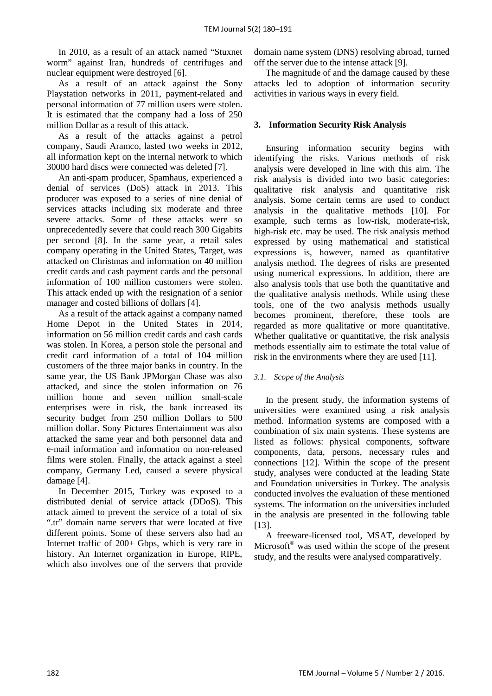In 2010, as a result of an attack named "Stuxnet worm" against Iran, hundreds of centrifuges and nuclear equipment were destroyed [6].

As a result of an attack against the Sony Playstation networks in 2011, payment-related and personal information of 77 million users were stolen. It is estimated that the company had a loss of 250 million Dollar as a result of this attack.

As a result of the attacks against a petrol company, Saudi Aramco, lasted two weeks in 2012, all information kept on the internal network to which 30000 hard discs were connected was deleted [7].

An anti-spam producer, Spamhaus, experienced a denial of services (DoS) attack in 2013. This producer was exposed to a series of nine denial of services attacks including six moderate and three severe attacks. Some of these attacks were so unprecedentedly severe that could reach 300 Gigabits per second [8]. In the same year, a retail sales company operating in the United States, Target, was attacked on Christmas and information on 40 million credit cards and cash payment cards and the personal information of 100 million customers were stolen. This attack ended up with the resignation of a senior manager and costed billions of dollars [4].

As a result of the attack against a company named Home Depot in the United States in 2014, information on 56 million credit cards and cash cards was stolen. In Korea, a person stole the personal and credit card information of a total of 104 million customers of the three major banks in country. In the same year, the US Bank JPMorgan Chase was also attacked, and since the stolen information on 76 million home and seven million small-scale enterprises were in risk, the bank increased its security budget from 250 million Dollars to 500 million dollar. Sony Pictures Entertainment was also attacked the same year and both personnel data and e-mail information and information on non-released films were stolen. Finally, the attack against a steel company, Germany Led, caused a severe physical damage [4].

In December 2015, Turkey was exposed to a distributed denial of service attack (DDoS). This attack aimed to prevent the service of a total of six ".tr" domain name servers that were located at five different points. Some of these servers also had an Internet traffic of 200+ Gbps, which is very rare in history. An Internet organization in Europe, RIPE, which also involves one of the servers that provide domain name system (DNS) resolving abroad, turned off the server due to the intense attack [9].

The magnitude of and the damage caused by these attacks led to adoption of information security activities in various ways in every field.

# **3. Information Security Risk Analysis**

Ensuring information security begins with identifying the risks. Various methods of risk analysis were developed in line with this aim. The risk analysis is divided into two basic categories: qualitative risk analysis and quantitative risk analysis. Some certain terms are used to conduct analysis in the qualitative methods [10]. For example, such terms as low-risk, moderate-risk, high-risk etc. may be used. The risk analysis method expressed by using mathematical and statistical expressions is, however, named as quantitative analysis method. The degrees of risks are presented using numerical expressions. In addition, there are also analysis tools that use both the quantitative and the qualitative analysis methods. While using these tools, one of the two analysis methods usually becomes prominent, therefore, these tools are regarded as more qualitative or more quantitative. Whether qualitative or quantitative, the risk analysis methods essentially aim to estimate the total value of risk in the environments where they are used [11].

## *3.1. Scope of the Analysis*

In the present study, the information systems of universities were examined using a risk analysis method. Information systems are composed with a combination of six main systems. These systems are listed as follows: physical components, software components, data, persons, necessary rules and connections [12]. Within the scope of the present study, analyses were conducted at the leading State and Foundation universities in Turkey. The analysis conducted involves the evaluation of these mentioned systems. The information on the universities included in the analysis are presented in the following table [13].

A freeware-licensed tool, MSAT, developed by Microsoft<sup>®</sup> was used within the scope of the present study, and the results were analysed comparatively.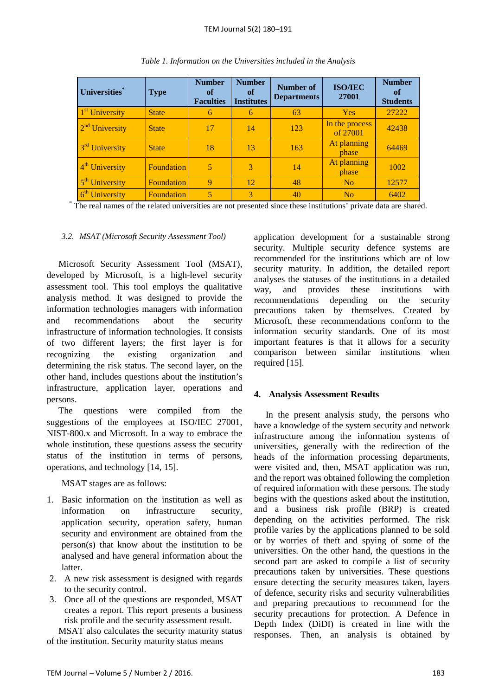| Universities*              | <b>Type</b>       | <b>Number</b><br>of<br><b>Faculties</b> | <b>Number</b><br><sub>of</sub><br><b>Institutes</b> | <b>Number of</b><br><b>Departments</b> | <b>ISO/IEC</b><br>27001    | <b>Number</b><br>of<br><b>Students</b> |
|----------------------------|-------------------|-----------------------------------------|-----------------------------------------------------|----------------------------------------|----------------------------|----------------------------------------|
| 1 <sup>st</sup> University | <b>State</b>      | 6                                       | 6                                                   | 63                                     | <b>Yes</b>                 | 27222                                  |
| $2nd$ University           | <b>State</b>      | 17                                      | 14                                                  | 123                                    | In the process<br>of 27001 | 42438                                  |
| 3 <sup>rd</sup> University | <b>State</b>      | 18                                      | 13                                                  | 163                                    | At planning<br>phase       | 64469                                  |
| 4 <sup>th</sup> University | <b>Foundation</b> | 5                                       | 3                                                   | 14                                     | At planning<br>phase       | 1002                                   |
| 5 <sup>th</sup> University | <b>Foundation</b> | 9                                       | 12                                                  | 48                                     | N <sub>0</sub>             | 12577                                  |
| 6 <sup>th</sup> University | <b>Foundation</b> | 5                                       | 3                                                   | 40                                     | N <sub>0</sub>             | 6402                                   |

\* The real names of the related universities are not presented since these institutions' private data are shared.

## *3.2. MSAT (Microsoft Security Assessment Tool)*

Microsoft Security Assessment Tool (MSAT), developed by Microsoft, is a high-level security assessment tool. This tool employs the qualitative analysis method. It was designed to provide the information technologies managers with information and recommendations about the security infrastructure of information technologies. It consists of two different layers; the first layer is for recognizing the existing organization and determining the risk status. The second layer, on the other hand, includes questions about the institution's infrastructure, application layer, operations and persons.

The questions were compiled from the suggestions of the employees at ISO/IEC 27001, NIST-800.x and Microsoft. In a way to embrace the whole institution, these questions assess the security status of the institution in terms of persons, operations, and technology [14, 15].

MSAT stages are as follows:

- 1. Basic information on the institution as well as information on infrastructure security, application security, operation safety, human security and environment are obtained from the person(s) that know about the institution to be analysed and have general information about the latter.
- 2. A new risk assessment is designed with regards to the security control.
- 3. Once all of the questions are responded, MSAT creates a report. This report presents a business risk profile and the security assessment result.

MSAT also calculates the security maturity status of the institution. Security maturity status means

application development for a sustainable strong security. Multiple security defence systems are recommended for the institutions which are of low security maturity. In addition, the detailed report analyses the statuses of the institutions in a detailed way, and provides these institutions with recommendations depending on the security precautions taken by themselves. Created by Microsoft, these recommendations conform to the information security standards. One of its most important features is that it allows for a security comparison between similar institutions when required [15].

# **4. Analysis Assessment Results**

In the present analysis study, the persons who have a knowledge of the system security and network infrastructure among the information systems of universities, generally with the redirection of the heads of the information processing departments, were visited and, then, MSAT application was run, and the report was obtained following the completion of required information with these persons. The study begins with the questions asked about the institution, and a business risk profile (BRP) is created depending on the activities performed. The risk profile varies by the applications planned to be sold or by worries of theft and spying of some of the universities. On the other hand, the questions in the second part are asked to compile a list of security precautions taken by universities. These questions ensure detecting the security measures taken, layers of defence, security risks and security vulnerabilities and preparing precautions to recommend for the security precautions for protection. A Defence in Depth Index (DiDI) is created in line with the responses. Then, an analysis is obtained by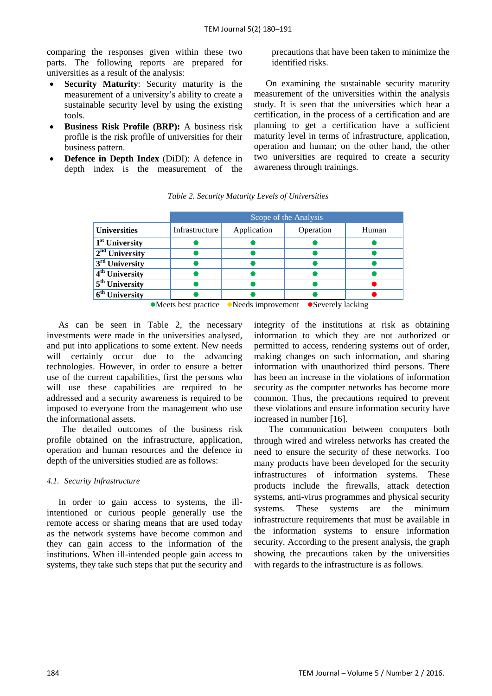comparing the responses given within these two parts. The following reports are prepared for universities as a result of the analysis:

- **Security Maturity:** Security maturity is the measurement of a university's ability to create a sustainable security level by using the existing tools.
- **Business Risk Profile (BRP):** A business risk profile is the risk profile of universities for their business pattern.
- **Defence in Depth Index** (DiDI): A defence in depth index is the measurement of the

precautions that have been taken to minimize the identified risks.

On examining the sustainable security maturity measurement of the universities within the analysis study. It is seen that the universities which bear a certification, in the process of a certification and are planning to get a certification have a sufficient maturity level in terms of infrastructure, application, operation and human; on the other hand, the other two universities are required to create a security awareness through trainings.

|                                    |                |             | Scope of the Analysis |       |
|------------------------------------|----------------|-------------|-----------------------|-------|
| <b>Universities</b>                | Infrastructure | Application | Operation             | Human |
| $\overline{1}^{\rm st}$ University |                |             |                       |       |
| $2nd$ University                   |                |             |                       |       |
| 3 <sup>rd</sup> University         |                |             |                       |       |
| $4th$ University                   |                |             |                       |       |
| $5th$ University                   |                |             |                       |       |
| $\overline{6^{th}}$ University     |                |             |                       |       |

*Table 2. Security Maturity Levels of Universities*

 $\bullet$  Meets best practice  $\bullet$  Needs improvement  $\bullet$  Severely lacking

As can be seen in Table 2, the necessary investments were made in the universities analysed, and put into applications to some extent. New needs will certainly occur due to the advancing technologies. However, in order to ensure a better use of the current capabilities, first the persons who will use these capabilities are required to be addressed and a security awareness is required to be imposed to everyone from the management who use the informational assets.

The detailed outcomes of the business risk profile obtained on the infrastructure, application, operation and human resources and the defence in depth of the universities studied are as follows:

## *4.1. Security Infrastructure*

In order to gain access to systems, the illintentioned or curious people generally use the remote access or sharing means that are used today as the network systems have become common and they can gain access to the information of the institutions. When ill-intended people gain access to systems, they take such steps that put the security and

integrity of the institutions at risk as obtaining information to which they are not authorized or permitted to access, rendering systems out of order, making changes on such information, and sharing information with unauthorized third persons. There has been an increase in the violations of information security as the computer networks has become more common. Thus, the precautions required to prevent these violations and ensure information security have increased in number [16].

The communication between computers both through wired and wireless networks has created the need to ensure the security of these networks. Too many products have been developed for the security infrastructures of information systems. These products include the firewalls, attack detection systems, anti-virus programmes and physical security systems. These systems are the minimum infrastructure requirements that must be available in the information systems to ensure information security. According to the present analysis, the graph showing the precautions taken by the universities with regards to the infrastructure is as follows.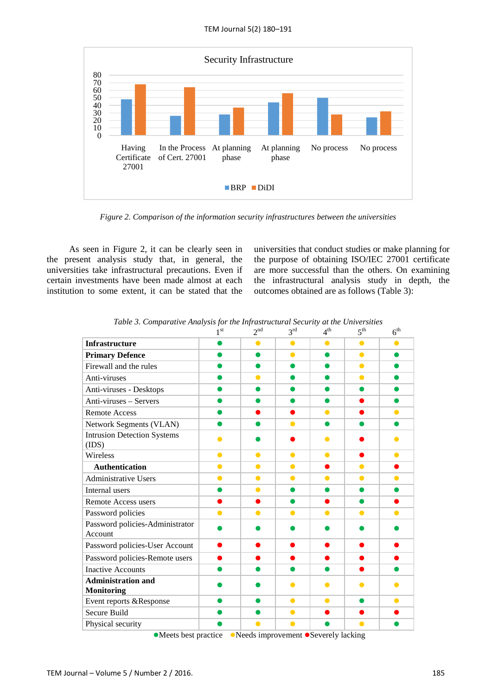

*Figure 2. Comparison of the information security infrastructures between the universities*

As seen in Figure 2, it can be clearly seen in the present analysis study that, in general, the universities take infrastructural precautions. Even if certain investments have been made almost at each institution to some extent, it can be stated that the universities that conduct studies or make planning for the purpose of obtaining ISO/IEC 27001 certificate are more successful than the others. On examining the infrastructural analysis study in depth, the outcomes obtained are as follows (Table 3):

|                                                              | 1 <sup>st</sup> | 2 <sup>nd</sup> | $3^{\text{rd}}$ | $4^{\text{th}}$ | $5^{\text{th}}$ | 6 <sup>th</sup> |
|--------------------------------------------------------------|-----------------|-----------------|-----------------|-----------------|-----------------|-----------------|
| Infrastructure                                               |                 | ●               | $\bullet$       | $\bullet$       | $\bullet$       |                 |
| <b>Primary Defence</b>                                       |                 | ●               | $\bullet$       | $\bullet$       | $\bullet$       | ●               |
| Firewall and the rules                                       |                 |                 |                 |                 | $\bullet$       |                 |
| Anti-viruses                                                 |                 | $\bullet$       | $\bullet$       | ●               | $\bullet$       |                 |
| Anti-viruses - Desktops                                      |                 |                 |                 |                 |                 |                 |
| Anti-viruses - Servers                                       |                 |                 | œ               | n               |                 |                 |
| <b>Remote Access</b>                                         |                 |                 | ●               | $\bullet$       |                 | $\bullet$       |
| Network Segments (VLAN)                                      |                 |                 | $\bullet$       | o               |                 |                 |
| <b>Intrusion Detection Systems</b><br>(IDS)                  |                 |                 |                 | $\bullet$       |                 |                 |
| Wireless                                                     | $\bullet$       | $\bullet$       | $\bullet$       | $\bullet$       |                 | $\bullet$       |
| <b>Authentication</b>                                        | $\bullet$       | $\bullet$       | $\bullet$       | ●               | $\bullet$       |                 |
| <b>Administrative Users</b>                                  | $\bullet$       | $\bullet$       | $\bullet$       | $\bullet$       | $\bullet$       | $\bullet$       |
| Internal users                                               | o               | $\bullet$       |                 | o               |                 |                 |
| Remote Access users                                          |                 |                 |                 |                 | o               |                 |
| Password policies                                            | $\bullet$       | $\bullet$       | $\bullet$       | $\bullet$       | $\bullet$       | ●               |
| Password policies-Administrator<br>Account                   |                 |                 |                 |                 |                 |                 |
| Password policies-User Account                               |                 |                 |                 |                 |                 |                 |
| Password policies-Remote users                               |                 |                 |                 |                 |                 |                 |
| <b>Inactive Accounts</b>                                     |                 |                 |                 |                 |                 |                 |
| <b>Administration and</b><br><b>Monitoring</b>               |                 |                 | ●               |                 |                 |                 |
| Event reports &Response                                      | ●               |                 | $\bullet$       | $\bullet$       | $\bullet$       | $\bullet$       |
| Secure Build                                                 |                 |                 | $\bullet$       |                 |                 |                 |
| Physical security                                            |                 |                 |                 |                 |                 |                 |
| A Meets hest practice A Meeds improvement A Severely lacking |                 |                 |                 |                 |                 |                 |

*Table* 3. Comparative Analysis for the Infrastructural Security at the Universities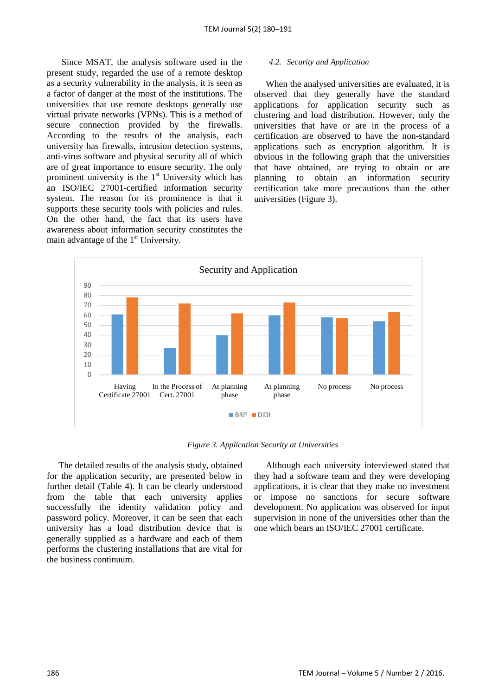Since MSAT, the analysis software used in the present study, regarded the use of a remote desktop as a security vulnerability in the analysis, it is seen as a factor of danger at the most of the institutions. The universities that use remote desktops generally use virtual private networks (VPNs). This is a method of secure connection provided by the firewalls. According to the results of the analysis, each university has firewalls, intrusion detection systems, anti-virus software and physical security all of which are of great importance to ensure security. The only prominent university is the  $1<sup>st</sup>$  University which has an ISO/IEC 27001-certified information security system. The reason for its prominence is that it supports these security tools with policies and rules. On the other hand, the fact that its users have awareness about information security constitutes the main advantage of the 1<sup>st</sup> University.

#### *4.2. Security and Application*

When the analysed universities are evaluated, it is observed that they generally have the standard applications for application security such as clustering and load distribution. However, only the universities that have or are in the process of a certification are observed to have the non-standard applications such as encryption algorithm. It is obvious in the following graph that the universities that have obtained, are trying to obtain or are planning to obtain an information security certification take more precautions than the other universities (Figure 3).



*Figure 3. Application Security at Universities*

The detailed results of the analysis study, obtained for the application security, are presented below in further detail (Table 4). It can be clearly understood from the table that each university applies successfully the identity validation policy and password policy. Moreover, it can be seen that each university has a load distribution device that is generally supplied as a hardware and each of them performs the clustering installations that are vital for the business continuum.

Although each university interviewed stated that they had a software team and they were developing applications, it is clear that they make no investment or impose no sanctions for secure software development. No application was observed for input supervision in none of the universities other than the one which bears an ISO/IEC 27001 certificate.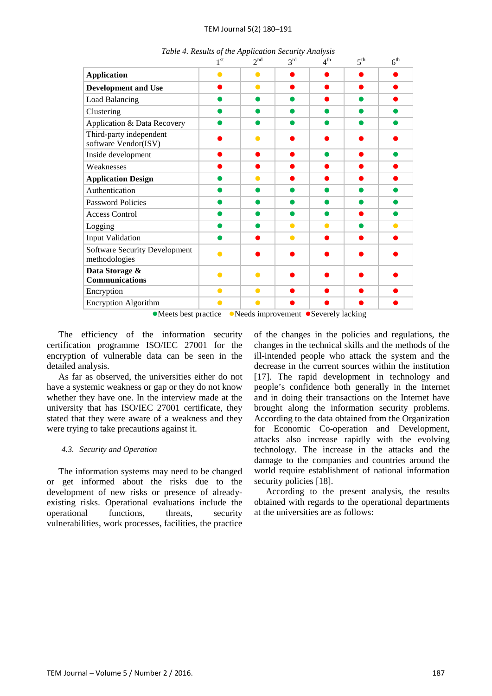### TEM Journal 5(2) 180–191

|                                                       | 1 <sup>st</sup> | 2 <sup>nd</sup> | 3 <sup>rd</sup> | $4^{\text{th}}$       | 5 <sup>th</sup> | 6 <sup>th</sup> |
|-------------------------------------------------------|-----------------|-----------------|-----------------|-----------------------|-----------------|-----------------|
| <b>Application</b>                                    |                 |                 |                 |                       |                 |                 |
| Development and Use                                   |                 | $\bullet$       |                 |                       |                 |                 |
| Load Balancing                                        |                 |                 |                 |                       |                 |                 |
| Clustering                                            |                 |                 |                 |                       |                 |                 |
| Application & Data Recovery                           |                 |                 |                 |                       |                 |                 |
| Third-party independent<br>software Vendor(ISV)       |                 |                 |                 |                       |                 |                 |
| Inside development                                    |                 |                 |                 |                       |                 |                 |
| Weaknesses                                            |                 |                 |                 |                       |                 |                 |
| <b>Application Design</b>                             |                 |                 |                 |                       |                 |                 |
| Authentication                                        |                 |                 |                 |                       |                 |                 |
| <b>Password Policies</b>                              |                 |                 |                 |                       |                 |                 |
| <b>Access Control</b>                                 |                 |                 |                 |                       |                 |                 |
| Logging                                               |                 |                 |                 |                       |                 |                 |
| <b>Input Validation</b>                               |                 |                 |                 |                       |                 |                 |
| <b>Software Security Development</b><br>methodologies |                 |                 |                 |                       |                 |                 |
| Data Storage &<br><b>Communications</b>               |                 |                 |                 |                       |                 |                 |
| Encryption                                            | $\bullet$       | $\bullet$       |                 |                       |                 |                 |
| <b>Encryption Algorithm</b>                           |                 |                 |                 |                       |                 |                 |
|                                                       |                 | $-1$            |                 | $\sim$<br>$1 \quad 1$ | .               |                 |

*Table 4. Results of the Application Security Analysis*

• Meets best practice • Needs improvement • Severely lacking

The efficiency of the information security certification programme ISO/IEC 27001 for the encryption of vulnerable data can be seen in the detailed analysis.

As far as observed, the universities either do not have a systemic weakness or gap or they do not know whether they have one. In the interview made at the university that has ISO/IEC 27001 certificate, they stated that they were aware of a weakness and they were trying to take precautions against it.

## *4.3. Security and Operation*

The information systems may need to be changed or get informed about the risks due to the development of new risks or presence of alreadyexisting risks. Operational evaluations include the operational functions, threats, security vulnerabilities, work processes, facilities, the practice of the changes in the policies and regulations, the changes in the technical skills and the methods of the ill-intended people who attack the system and the decrease in the current sources within the institution [17]. The rapid development in technology and people's confidence both generally in the Internet and in doing their transactions on the Internet have brought along the information security problems. According to the data obtained from the Organization for Economic Co-operation and Development, attacks also increase rapidly with the evolving technology. The increase in the attacks and the damage to the companies and countries around the world require establishment of national information security policies [18].

According to the present analysis, the results obtained with regards to the operational departments at the universities are as follows: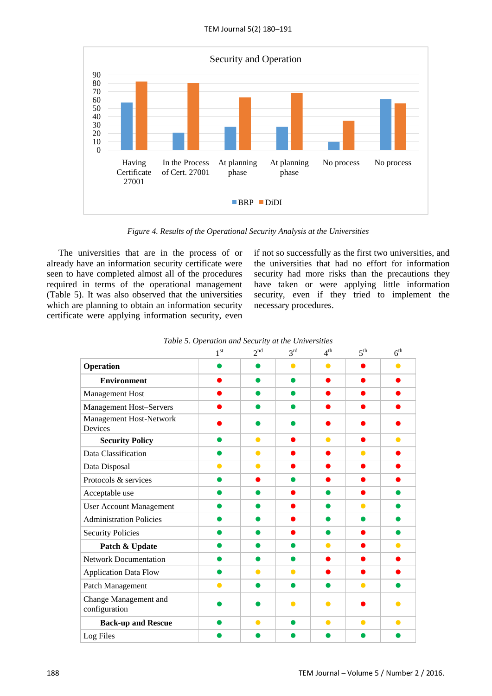

*Figure 4. Results of the Operational Security Analysis at the Universities*

The universities that are in the process of or already have an information security certificate were seen to have completed almost all of the procedures required in terms of the operational management (Table 5). It was also observed that the universities which are planning to obtain an information security certificate were applying information security, even if not so successfully as the first two universities, and the universities that had no effort for information security had more risks than the precautions they have taken or were applying little information security, even if they tried to implement the necessary procedures.

|                                        | 1 <sup>st</sup> | 2 <sup>nd</sup> | 3 <sup>rd</sup> | 4 <sup>th</sup> | 5 <sup>th</sup> | 6 <sup>th</sup> |
|----------------------------------------|-----------------|-----------------|-----------------|-----------------|-----------------|-----------------|
| Operation                              |                 |                 | $\bullet$       | $\bullet$       |                 | ●               |
| <b>Environment</b>                     |                 |                 | $\bullet$       |                 |                 |                 |
| Management Host                        |                 |                 |                 |                 |                 |                 |
| <b>Management Host-Servers</b>         |                 |                 |                 |                 |                 |                 |
| Management Host-Network<br>Devices     |                 |                 |                 |                 |                 |                 |
| <b>Security Policy</b>                 |                 | $\bullet$       |                 | $\bullet$       |                 | ●               |
| Data Classification                    |                 | $\bullet$       |                 |                 | $\bullet$       |                 |
| Data Disposal                          | $\bullet$       | $\bullet$       |                 |                 |                 |                 |
| Protocols & services                   |                 |                 |                 |                 |                 |                 |
| Acceptable use                         |                 |                 |                 |                 |                 |                 |
| <b>User Account Management</b>         |                 | ●               |                 |                 | $\bullet$       |                 |
| <b>Administration Policies</b>         |                 |                 |                 |                 |                 |                 |
| <b>Security Policies</b>               |                 |                 |                 |                 |                 |                 |
| Patch & Update                         |                 |                 |                 | $\bullet$       |                 | $\bullet$       |
| <b>Network Documentation</b>           |                 | æ               |                 |                 |                 |                 |
| <b>Application Data Flow</b>           |                 | $\bullet$       | $\bullet$       |                 |                 |                 |
| Patch Management                       | ●               |                 | ●               |                 | $\bullet$       |                 |
| Change Management and<br>configuration |                 |                 | О               |                 |                 |                 |
| <b>Back-up and Rescue</b>              |                 | $\bullet$       |                 | $\bullet$       | $\bullet$       | $\bullet$       |
| Log Files                              |                 |                 |                 |                 |                 |                 |

*Table 5. Operation and Security at the Universities*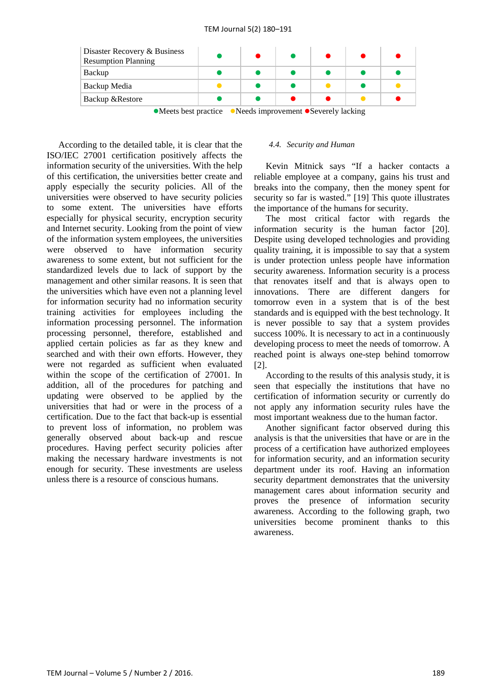| Disaster Recovery & Business<br>Resumption Planning                                                   |  |  |  |  |  |  |
|-------------------------------------------------------------------------------------------------------|--|--|--|--|--|--|
| Backup                                                                                                |  |  |  |  |  |  |
| Backup Media                                                                                          |  |  |  |  |  |  |
| <b>Backup &amp;Restore</b>                                                                            |  |  |  |  |  |  |
| $\bullet M$ and lead was after $\bullet M$ and two second on $\bullet$ Correct leads to all $\bullet$ |  |  |  |  |  |  |

• Meets best practice • Needs improvement • Severely lacking

According to the detailed table, it is clear that the ISO/IEC 27001 certification positively affects the information security of the universities. With the help of this certification, the universities better create and apply especially the security policies. All of the universities were observed to have security policies to some extent. The universities have efforts especially for physical security, encryption security and Internet security. Looking from the point of view of the information system employees, the universities were observed to have information security awareness to some extent, but not sufficient for the standardized levels due to lack of support by the management and other similar reasons. It is seen that the universities which have even not a planning level for information security had no information security training activities for employees including the information processing personnel. The information processing personnel, therefore, established and applied certain policies as far as they knew and searched and with their own efforts. However, they were not regarded as sufficient when evaluated within the scope of the certification of 27001. In addition, all of the procedures for patching and updating were observed to be applied by the universities that had or were in the process of a certification. Due to the fact that back-up is essential to prevent loss of information, no problem was generally observed about back-up and rescue procedures. Having perfect security policies after making the necessary hardware investments is not enough for security. These investments are useless unless there is a resource of conscious humans.

#### *4.4. Security and Human*

Kevin Mitnick says "If a hacker contacts a reliable employee at a company, gains his trust and breaks into the company, then the money spent for security so far is wasted." [19] This quote illustrates the importance of the humans for security.

The most critical factor with regards the information security is the human factor [20]. Despite using developed technologies and providing quality training, it is impossible to say that a system is under protection unless people have information security awareness. Information security is a process that renovates itself and that is always open to innovations. There are different dangers for tomorrow even in a system that is of the best standards and is equipped with the best technology. It is never possible to say that a system provides success 100%. It is necessary to act in a continuously developing process to meet the needs of tomorrow. A reached point is always one-step behind tomorrow [2].

According to the results of this analysis study, it is seen that especially the institutions that have no certification of information security or currently do not apply any information security rules have the most important weakness due to the human factor.

Another significant factor observed during this analysis is that the universities that have or are in the process of a certification have authorized employees for information security, and an information security department under its roof. Having an information security department demonstrates that the university management cares about information security and proves the presence of information security awareness. According to the following graph, two universities become prominent thanks to this awareness.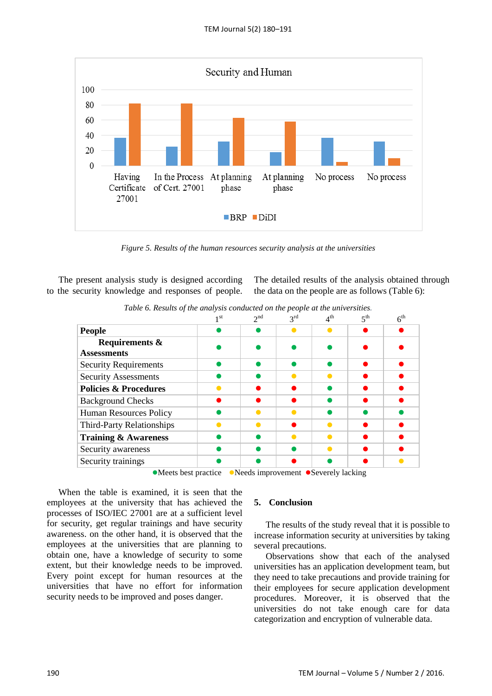

*Figure 5. Results of the human resources security analysis at the universities*

The present analysis study is designed according to the security knowledge and responses of people. The detailed results of the analysis obtained through the data on the people are as follows (Table 6):

|                                  | Table 6. Results of the analysis conducted on the people at the universities. |          |                 |                 |                 |                 |  |  |
|----------------------------------|-------------------------------------------------------------------------------|----------|-----------------|-----------------|-----------------|-----------------|--|--|
|                                  | 1 <sup>st</sup>                                                               | $2^{nd}$ | $3^{\text{rd}}$ | $4^{\text{th}}$ | 5 <sup>th</sup> | 6 <sup>th</sup> |  |  |
| <b>People</b>                    |                                                                               |          |                 |                 |                 |                 |  |  |
| <b>Requirements &amp;</b>        |                                                                               |          |                 |                 |                 |                 |  |  |
| <b>Assessments</b>               |                                                                               |          |                 |                 |                 |                 |  |  |
| <b>Security Requirements</b>     |                                                                               |          |                 |                 |                 |                 |  |  |
| <b>Security Assessments</b>      |                                                                               |          |                 |                 |                 |                 |  |  |
| <b>Policies &amp; Procedures</b> |                                                                               |          |                 |                 |                 |                 |  |  |
| <b>Background Checks</b>         |                                                                               |          |                 |                 |                 |                 |  |  |
| <b>Human Resources Policy</b>    |                                                                               |          |                 |                 |                 |                 |  |  |
| Third-Party Relationships        |                                                                               |          |                 |                 |                 |                 |  |  |
| <b>Training &amp; Awareness</b>  |                                                                               |          |                 |                 |                 |                 |  |  |
| Security awareness               |                                                                               |          |                 |                 |                 |                 |  |  |
| Security trainings               |                                                                               |          |                 |                 |                 |                 |  |  |
|                                  | A Moots host practice A Noods improvement A Severally lacking                 |          |                 |                 |                 |                 |  |  |

*Table 6. Results of the analysis conducted on the people at the universities.*

• Meets best practice • Needs improvement • Severely lacking

When the table is examined, it is seen that the employees at the university that has achieved the processes of ISO/IEC 27001 are at a sufficient level for security, get regular trainings and have security awareness. on the other hand, it is observed that the employees at the universities that are planning to obtain one, have a knowledge of security to some extent, but their knowledge needs to be improved. Every point except for human resources at the universities that have no effort for information security needs to be improved and poses danger.

# **5. Conclusion**

The results of the study reveal that it is possible to increase information security at universities by taking several precautions.

Observations show that each of the analysed universities has an application development team, but they need to take precautions and provide training for their employees for secure application development procedures. Moreover, it is observed that the universities do not take enough care for data categorization and encryption of vulnerable data.